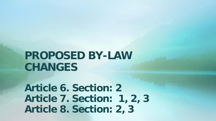# **PROPOSED BY-LAW CHANGES**

**Article 6. Section: 2 Article 7. Section: 1, 2, 3 Article 8. Section: 2, 3**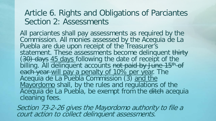#### Article 6. Rights and Obligations of Parciantes Section 2: Assessments

All parciantes shall pay assessments as required by the Commission. All monies assessed by the Acequia de La Puebla are due upon receipt of the Treasurer's<br>statement. These assessments become delinquent thirty statement. These assessments become delinquent <del>thirty</del><br>(<del>30) days</del> 45 days following the date of receipt of the billing. All delinquent accounts not paid by June 15<sup>th</sup> of each year will pay a penalty of 10% per year. The Acequia de La Puebla Commission (3) and the Mayordomo shall, by the rules and regulations of the Acequia de La Puebla, be exempt from the ditch acequia cleaning fees.

Section 73-2-26 gives the Mayordomo authority to file a court action to collect delinquent assessments.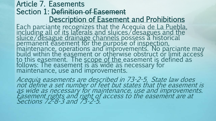#### Article 7. Easements Section 1: Definition of Easement Description of Easement and Prohibitions

Each parciante recognizes that the Acequia <u>de La Puebla,</u><br><u>including all of its laterals and sluices/desagues and the</u><br><u>sluice/desague drainage channels p</u>ossess a historical permanent easement for the purpose of <u>inspection,</u><br>maintenance, operations and improvements. No parciante may build within the easement or otherwise obstruct or limit access to this e<u>a</u>sement. The <u>scope of the </u>easement is defined as follows: The easement is as wide as necessary for maintenance, use and improvements.

Acequia easements are described in 73-2-5. State law does not define a set number of feet but states that the easement is as wide as necessary for maintenance, use and improvements. Easement rights and right of access to the easement are at Sections 72-8-3 and 73-2-5.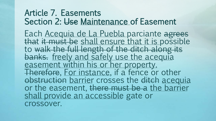### Article 7. Easements Section 2: Use Maintenance of Easement

Each <u>Acequia de La Puebla parciante agrees</u><br>that it must be shall ensure that it is possible<br>to walk the full length of the ditch along its banks. freely and safely use the acequia easement within his or her property. Therefore, For instance, if a fence or other<br>obstruction barrier crosses the ditch acequia or the easement, there must be a the barrier shall provide an accessible gate or crossover.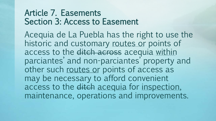### Article 7. Easements Section 3: Access to Easement

Acequia de La Puebla has the right to use the historic and customary routes or points of access to the ditch across acequia within parciantes' and non-parciantes' property and other such routes or points of access as may be necessary to afford convenient access to the ditch acequia for inspection, maintenance, operations and improvements.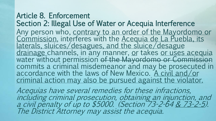Article 8. Enforcement Section 2: Illegal Use of Water or Acequia Interference Any person who, <u>contrary to an order of the Mayordomo or</u><br>Commission, interferes with the <u>Acequia de La Puebla, its</u><br>laterals, sluices/desagues, and the sluice/desague<br>drainage channels, in any manner, <u>o</u>r takes or uses water without permission of the Mayordomo or Commission<br>commits a criminal misdemeanor and may be prosecuted in<br>accordance with the laws of New Mexico. A civil and/or criminal action may also be pursued against the violator.

Acequias have several remedies for these infractions, including criminal prosecution, obtaining an injunction, and a civil penalty of up to \$5000. (Section 73-2-64 & 73-2-5). The District Attorney may assist the acequia.